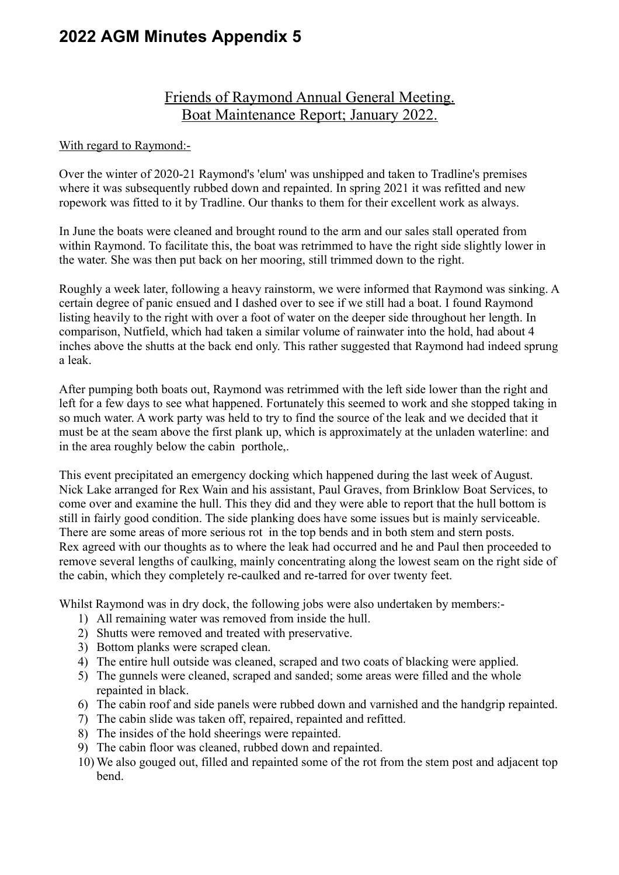## **2022 AGM Minutes Appendix 5**

## Friends of Raymond Annual General Meeting. Boat Maintenance Report; January 2022.

## With regard to Raymond:-

Over the winter of 2020-21 Raymond's 'elum' was unshipped and taken to Tradline's premises where it was subsequently rubbed down and repainted. In spring 2021 it was refitted and new ropework was fitted to it by Tradline. Our thanks to them for their excellent work as always.

In June the boats were cleaned and brought round to the arm and our sales stall operated from within Raymond. To facilitate this, the boat was retrimmed to have the right side slightly lower in the water. She was then put back on her mooring, still trimmed down to the right.

Roughly a week later, following a heavy rainstorm, we were informed that Raymond was sinking. A certain degree of panic ensued and I dashed over to see if we still had a boat. I found Raymond listing heavily to the right with over a foot of water on the deeper side throughout her length. In comparison, Nutfield, which had taken a similar volume of rainwater into the hold, had about 4 inches above the shutts at the back end only. This rather suggested that Raymond had indeed sprung a leak.

After pumping both boats out, Raymond was retrimmed with the left side lower than the right and left for a few days to see what happened. Fortunately this seemed to work and she stopped taking in so much water. A work party was held to try to find the source of the leak and we decided that it must be at the seam above the first plank up, which is approximately at the unladen waterline: and in the area roughly below the cabin porthole,.

This event precipitated an emergency docking which happened during the last week of August. Nick Lake arranged for Rex Wain and his assistant, Paul Graves, from Brinklow Boat Services, to come over and examine the hull. This they did and they were able to report that the hull bottom is still in fairly good condition. The side planking does have some issues but is mainly serviceable. There are some areas of more serious rot in the top bends and in both stem and stern posts. Rex agreed with our thoughts as to where the leak had occurred and he and Paul then proceeded to remove several lengths of caulking, mainly concentrating along the lowest seam on the right side of the cabin, which they completely re-caulked and re-tarred for over twenty feet.

Whilst Raymond was in dry dock, the following jobs were also undertaken by members:-

- 1) All remaining water was removed from inside the hull.
- 2) Shutts were removed and treated with preservative.
- 3) Bottom planks were scraped clean.
- 4) The entire hull outside was cleaned, scraped and two coats of blacking were applied.
- 5) The gunnels were cleaned, scraped and sanded; some areas were filled and the whole repainted in black.
- 6) The cabin roof and side panels were rubbed down and varnished and the handgrip repainted.
- 7) The cabin slide was taken off, repaired, repainted and refitted.
- 8) The insides of the hold sheerings were repainted.
- 9) The cabin floor was cleaned, rubbed down and repainted.
- 10) We also gouged out, filled and repainted some of the rot from the stem post and adjacent top bend.